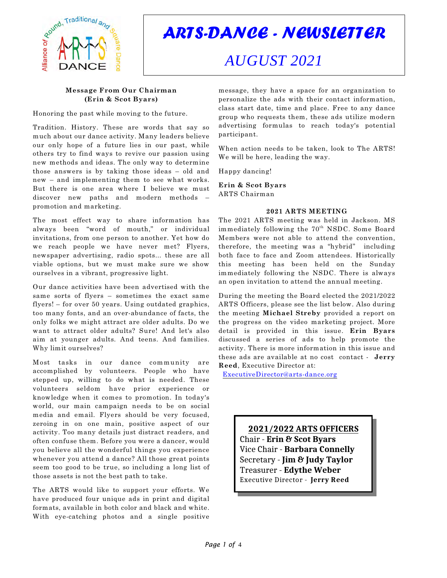

*ARTS-DANCE - NEWSLETTER*

# *AUGUST 2021*

# **Message From Our Chairman (Erin & Scot Byars)**

Honoring the past while moving to the future.

Tradition. History. These are words that say so much about our dance activity. Many leaders believe our only hope of a future lies in our past, while others try to find ways to revive our passion using new methods and ideas. The only way to determine those answers is by taking those ideas – old and new – and implementing them to see what works. But there is one area where I believe we must discover new paths and modern methods – promotion and marketing.

The most effect way to share information has always been "word of mouth," or individual invitations, from one person to another. Yet how do we reach people we have never met? Flyers, newspaper advertising, radio spots... these are all viable options, but we must make sure we show ourselves in a vibrant, progressive light.

Our dance activities have been advertised with the same sorts of flyers – sometimes the exact same flyers! – for over 50 years. Using outdated graphics, too many fonts, and an over-abundance of facts, the only folks we might attract are older adults. Do we want to attract older adults? Sure! And let's also aim at younger adults. And teens. And families. Why limit ourselves?

Most tasks in our dance community are accomplished by volunteers. People who have stepped up, willing to do what is needed. These volunteers seldom have prior experience or knowledge when it comes to promotion. In today's world, our main campaign needs to be on social media and email. Flyers should be very focused, zeroing in on one main, positive aspect of our activity. Too many details just distract readers, and often confuse them. Before you were a dancer, would you believe all the wonderful things you experience whenever you attend a dance? All those great points seem too good to be true, so including a long list of those assets is not the best path to take.

The ARTS would like to support your efforts. We have produced four unique ads in print and digital formats, available in both color and black and white. With eye-catching photos and a single positive

message, they have a space for an organization to personalize the ads with their contact information, class start date, time and place. Free to any dance group who requests them, these ads utilize modern advertising formulas to reach today's potential participant.

When action needs to be taken, look to The ARTS! We will be here, leading the way.

Happy dancing!

**Erin & Scot Byars** ARTS Chairman

# **2021 ARTS MEETING**

The 2021 ARTS meeting was held in Jackson. MS immediately following the  $70<sup>th</sup>$  NSDC. Some Board Members were not able to attend the convention, therefore, the meeting was a "hybrid" including both face to face and Zoom attendees. Historically this meeting has been held on the Sunday immediately following the NSDC. There is always an open invitation to attend the annual meeting.

During the meeting the Board elected the 2021/2022 ARTS Officers, please see the list below. Also during the meeting **Michael Streby** provided a report on the progress on the video marketing project. More detail is provided in this issue. **Erin Byars** discussed a series of ads to help promote the activity. There is more information in this issue and these ads are available at no cost contact - **Jerry Reed**, Executive Director at:

[ExecutiveDirector@arts-dance.org](mailto:ExecutiveDirector@arts-dance.org)

**2021/2022 ARTS OFFICERS** Chair - **Erin & Scot Byars** Vice Chair - **Barbara Connelly** Secretary - **Jim & Judy Taylor** Treasurer - **Edythe Weber** Executive Director - **Jerry Reed**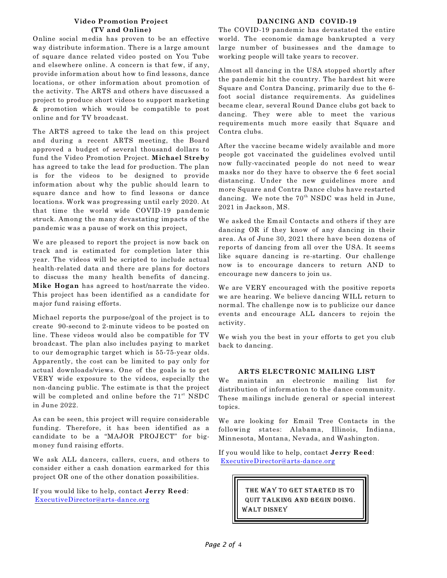# **Video Promotion Project (TV and Online)**

Online social media has proven to be an effective way distribute information. There is a large amount of square dance related video posted on You Tube and elsewhere online. A concern is that few, if any, provide information about how to find lessons, dance locations, or other information about promotion of the activity. The ARTS and others have discussed a project to produce short videos to support marketing & promotion which would be compatible to post online and for TV broadcast.

The ARTS agreed to take the lead on this project and during a recent ARTS meeting, the Board approved a budget of several thousand dollars to fund the Video Promotion Project. **Michael Streby** has agreed to take the lead for production. The plan is for the videos to be designed to provide information about why the public should learn to square dance and how to find lessons or dance locations. Work was progressing until early 2020. At that time the world wide COVID-19 pandemic struck. Among the many devastating impacts of the pandemic was a pause of work on this project,

We are pleased to report the project is now back on track and is estimated for completion later this year. The videos will be scripted to include actual health-related data and there are plans for doctors to discuss the many health benefits of dancing. **Mike Hogan** has agreed to host/narrate the video. This project has been identified as a candidate for major fund raising efforts.

Michael reports the purpose/goal of the project is to create 90-second to 2-minute videos to be posted on line. These videos would also be compatible for TV broadcast. The plan also includes paying to market to our demographic target which is 55-75-year olds. Apparently, the cost can be limited to pay only for actual downloads/views. One of the goals is to get VERY wide exposure to the videos, especially the non-dancing public. The estimate is that the project will be completed and online before the  $71<sup>st</sup>$  NSDC in June 2022.

As can be seen, this project will require considerable funding. Therefore, it has been identified as a candidate to be a "MAJOR PROJECT" for bigmoney fund raising efforts.

We ask ALL dancers, callers, cuers, and others to consider either a cash donation earmarked for this project OR one of the other donation possibilities.

If you would like to help, contact **Jerry Reed**: [ExecutiveDirector@arts-dance.org](mailto:ExecutiveDirector@arts-dance.org)

# **DANCING AND COVID-19**

The COVID-19 pandemic has devastated the entire world. The economic damage bankrupted a very large number of businesses and the damage to working people will take years to recover.

Almost all dancing in the USA stopped shortly after the pandemic hit the country. The hardest hit were Square and Contra Dancing, primarily due to the 6 foot social distance requirements. As guidelines became clear, several Round Dance clubs got back to dancing. They were able to meet the various requirements much more easily that Square and Contra clubs.

After the vaccine became widely available and more people got vaccinated the guidelines evolved until now fully-vaccinated people do not need to wear masks nor do they have to observe the 6 feet social distancing. Under the new guidelines more and more Square and Contra Dance clubs have restarted dancing. We note the  $70<sup>th</sup>$  NSDC was held in June, 2021 in Jackson, MS.

We asked the Email Contacts and others if they are dancing OR if they know of any dancing in their area. As of June 30, 2021 there have been dozens of reports of dancing from all over the USA. It seems like square dancing is re-starting. Our challenge now is to encourage dancers to return AND to encourage new dancers to join us.

We are VERY encouraged with the positive reports we are hearing. We believe dancing WILL return to normal. The challenge now is to publicize our dance events and encourage ALL dancers to rejoin the activity.

We wish you the best in your efforts to get you club back to dancing.

# **ARTS ELECTRONIC MAILING LIST**

We maintain an electronic mailing list for distribution of information to the dance community. These mailings include general or special interest topics.

We are looking for Email Tree Contacts in the following states: Alabama, Illinois, Indiana, Minnesota, Montana, Nevada, and Washington.

If you would like to help, contact **Jerry Reed**: [ExecutiveDirector@arts-dance.org](mailto:ExecutiveDirector@arts-dance.org)

> THE WAY TO GET STARTED IS TO quit talking and begin doing. Walt Disney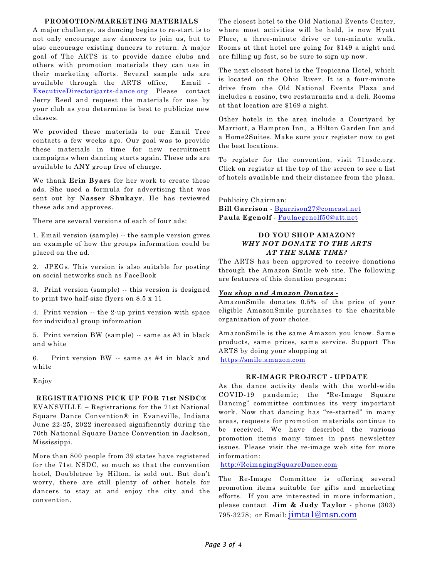#### **PROMOTION/MARKETING MATERIALS**

A major challenge, as dancing begins to re-start is to not only encourage new dancers to join us, but to also encourage existing dancers to return. A major goal of The ARTS is to provide dance clubs and others with promotion materials they can use in their marketing efforts. Several sample ads are available through the ARTS office, Email - [ExecutiveDirector@arts-dance.org](mailto:ExecutiveDirector@arts-dance.org) Please contact Jerry Reed and request the materials for use by your club as you determine is best to publicize new classes.

We provided these materials to our Email Tree contacts a few weeks ago. Our goal was to provide these materials in time for new recruitment campaigns when dancing starts again. These ads are available to ANY group free of charge.

We thank **Erin Byars** for her work to create these ads. She used a formula for advertising that was sent out by **Nasser Shukayr**. He has reviewed these ads and approves.

There are several versions of each of four ads:

1. Email version (sample) -- the sample version gives an example of how the groups information could be placed on the ad.

2. JPEGs. This version is also suitable for posting on social networks such as FaceBook

3. Print version (sample) -- this version is designed to print two half-size flyers on 8.5 x 11

4. Print version -- the 2-up print version with space for individual group information

5. Print version BW (sample) -- same as #3 in black and white

6. Print version BW -- same as #4 in black and white

Enjoy

# **REGISTRATIONS PICK UP FOR 71st NSDC®**

EVANSVILLE – Registrations for the 71st National Square Dance Convention® in Evansville, Indiana June 22-25, 2022 increased significantly during the 70th National Square Dance Convention in Jackson, Mississippi.

More than 800 people from 39 states have registered for the 71st NSDC, so much so that the convention hotel, Doubletree by Hilton, is sold out. But don't worry, there are still plenty of other hotels for dancers to stay at and enjoy the city and the convention.

The closest hotel to the Old National Events Center, where most activities will be held, is now Hyatt Place, a three-minute drive or ten-minute walk. Rooms at that hotel are going for \$149 a night and are filling up fast, so be sure to sign up now.

The next closest hotel is the Tropicana Hotel, which is located on the Ohio River. It is a four-minute drive from the Old National Events Plaza and includes a casino, two restaurants and a deli. Rooms at that location are \$169 a night.

Other hotels in the area include a Courtyard by Marriott, a Hampton Inn, a Hilton Garden Inn and a Home2Suites. Make sure your register now to get the best locations.

To register for the convention, visit 71nsdc.org. Click on register at the top of the screen to see a list of hotels available and their distance from the plaza.

Publicity Chairman:

**Bill Garrison** - [Bgarrison27@comcast.net](mailto:Bgarrison27@comcast.net) **Paula Egenolf** - [Paulaegenolf50@att.net](mailto:Paulaegenolf50@att.net)

# **DO YOU SHOP AMAZON?** *WHY NOT DONATE TO THE ARTS AT THE SAME TIME?*

The ARTS has been approved to receive donations through the Amazon Smile web site. The following are features of this donation program:

# *You shop and Amazon Donates -*

AmazonSmile donates 0.5% of the price of your eligible AmazonSmile purchases to the charitable organization of your choice.

AmazonSmile is the same Amazon you know. Same products, same prices, same service. Support The ARTS by doing your shopping at <https://smile.amazon.com>

#### **RE-IMAGE PROJECT - UPDATE**

As the dance activity deals with the world-wide COVID-19 pandemic; the "Re-Image Square Dancing" committee continues its very important work. Now that dancing has "re-started" in many areas, requests for promotion materials continue to be received. We have described the various promotion items many times in past newsletter issues. Please visit the re-image web site for more information:

<http://ReimagingSquareDance.com>

The Re-Image Committee is offering several promotion items suitable for gifts and marketing efforts. If you are interested in more information, please contact **Jim & Judy Taylor** - phone (303) 795-3278; or Email:  $\lim_{\alpha \to 0} \tan \alpha$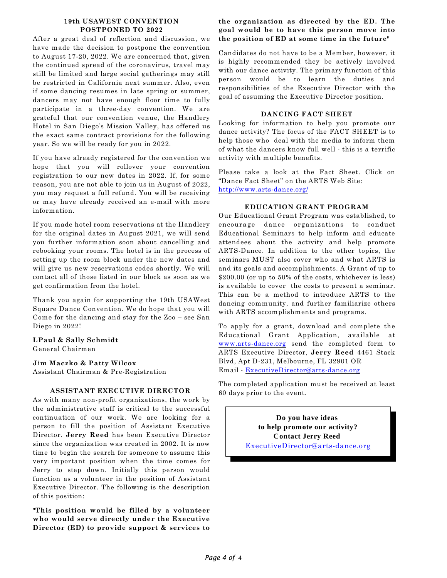#### **19th USAWEST CONVENTION POSTPONED TO 2022**

After a great deal of reflection and discussion, we have made the decision to postpone the convention to August 17-20, 2022. We are concerned that, given the continued spread of the coronavirus, travel may still be limited and large social gatherings may still be restricted in California next summer. Also, even if some dancing resumes in late spring or summer, dancers may not have enough floor time to fully participate in a three-day convention. We are grateful that our convention venue, the Handlery Hotel in San Diego's Mission Valley, has offered us the exact same contract provisions for the following year. So we will be ready for you in 2022.

If you have already registered for the convention we hope that you will rollover your convention registration to our new dates in 2022. If, for some reason, you are not able to join us in August of 2022, you may request a full refund. You will be receiving or may have already received an e-mail with more information.

If you made hotel room reservations at the Handlery for the original dates in August 2021, we will send you further information soon about cancelling and rebooking your rooms. The hotel is in the process of setting up the room block under the new dates and will give us new reservations codes shortly. We will contact all of those listed in our block as soon as we get confirmation from the hotel.

Thank you again for supporting the 19th USAWest Square Dance Convention. We do hope that you will Come for the dancing and stay for the Zoo – see San Diego in 2022!

# **LPaul & Sally Schmidt**

General Chairmen

# **Jim Maczko & Patty Wilcox**

Assistant Chairman & Pre-Registration

# **ASSISTANT EXECUTIVE DIRECTOR**

As with many non-profit organizations, the work by the administrative staff is critical to the successful continuation of our work. We are looking for a person to fill the position of Assistant Executive Director. **Jerry Reed** has been Executive Director since the organization was created in 2002. It is now time to begin the search for someone to assume this very important position when the time comes for Jerry to step down. Initially this person would function as a volunteer in the position of Assistant Executive Director. The following is the description of this position:

**"This position would be filled by a volunteer who would serve directly under the Executive Director (ED) to provide support & services to**

# **the organization as directed by the ED. The goal would be to have this person move into the position of ED at some time in the future"**

Candidates do not have to be a Member, however, it is highly recommended they be actively involved with our dance activity. The primary function of this person would be to learn the duties and responsibilities of the Executive Director with the goal of assuming the Executive Director position.

# **DANCING FACT SHEET**

Looking for information to help you promote our dance activity? The focus of the FACT SHEET is to help those who deal with the media to inform them of what the dancers know full well - this is a terrific activity with multiple benefits.

Please take a look at the Fact Sheet. Click on "Dance Fact Sheet" on the ARTS Web Site: <http://www.arts-dance.org/>

# **EDUCATION GRANT PROGRAM**

Our Educational Grant Program was established, to encourage dance organizations to conduct Educational Seminars to help inform and educate attendees about the activity and help promote ARTS-Dance. In addition to the other topics, the seminars MUST also cover who and what ARTS is and its goals and accomplishments. A Grant of up to \$200.00 (or up to 50% of the costs, whichever is less) is available to cover the costs to present a seminar. This can be a method to introduce ARTS to the dancing community, and further familiarize others with ARTS accomplishments and programs.

To apply for a grant, download and complete the Educational Grant Application, available at [www.arts-dance.org](http://www.arts-dance.org) send the completed form to ARTS Executive Director, **Jerry Reed** 4461 Stack Blvd, Apt D-231, Melbourne, FL 32901 OR Email - [ExecutiveDirector@arts-dance.org](mailto:ExecutiveDirector@arts-dance.org)

The completed application must be received at least 60 days prior to the event.

> **Do you have ideas to help promote our activity? Contact Jerry Reed**  [ExecutiveDirector@arts-dance.org](mailto:ExecutiveDirector@arts-dance.org)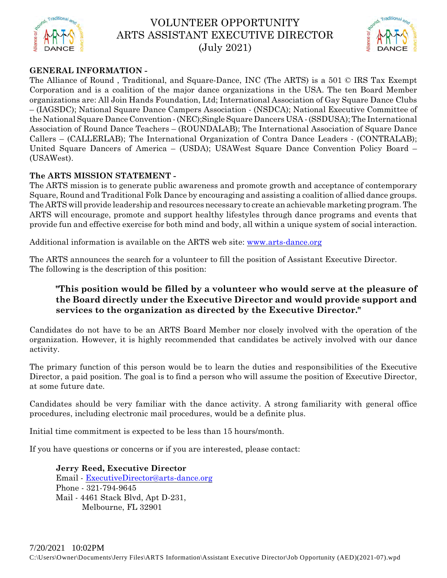

# VOLUNTEER OPPORTUNITY ARTS ASSISTANT EXECUTIVE DIRECTOR (July 2021)



# **GENERAL INFORMATION -**

The Alliance of Round , Traditional, and Square-Dance, INC (The ARTS) is a 501 © IRS Tax Exempt Corporation and is a coalition of the major dance organizations in the USA. The ten Board Member organizations are: All Join Hands Foundation, Ltd; International Association of Gay Square Dance Clubs – (IAGSDC); National Square Dance Campers Association - (NSDCA); National Executive Committee of the National Square Dance Convention - (NEC);Single Square Dancers USA - (SSDUSA); The International Association of Round Dance Teachers – (ROUNDALAB); The International Association of Square Dance Callers – (CALLERLAB); The International Organization of Contra Dance Leaders - (CONTRALAB); United Square Dancers of America – (USDA); USAWest Square Dance Convention Policy Board – (USAWest).

# **The ARTS MISSION STATEMENT -**

The ARTS mission is to generate public awareness and promote growth and acceptance of contemporary Square, Round and Traditional Folk Dance by encouraging and assisting a coalition of allied dance groups. The ARTS will provide leadership and resources necessary to create an achievable marketing program. The ARTS will encourage, promote and support healthy lifestyles through dance programs and events that provide fun and effective exercise for both mind and body, all within a unique system of social interaction.

Additional information is available on the ARTS web site: [www.arts-dance.org](http://www.arts-dance.org)

The ARTS announces the search for a volunteer to fill the position of Assistant Executive Director. The following is the description of this position:

# **"This position would be filled by a volunteer who would serve at the pleasure of the Board directly under the Executive Director and would provide support and services to the organization as directed by the Executive Director."**

Candidates do not have to be an ARTS Board Member nor closely involved with the operation of the organization. However, it is highly recommended that candidates be actively involved with our dance activity.

The primary function of this person would be to learn the duties and responsibilities of the Executive Director, a paid position. The goal is to find a person who will assume the position of Executive Director, at some future date.

Candidates should be very familiar with the dance activity. A strong familiarity with general office procedures, including electronic mail procedures, would be a definite plus.

Initial time commitment is expected to be less than 15 hours/month.

If you have questions or concerns or if you are interested, please contact:

**Jerry Reed, Executive Director** Email - [ExecutiveDirector@arts-dance.org](mailto:ExecutiveDirector@arts-dance.org) Phone - 321-794-9645 Mail - 4461 Stack Blvd, Apt D-231, Melbourne, FL 32901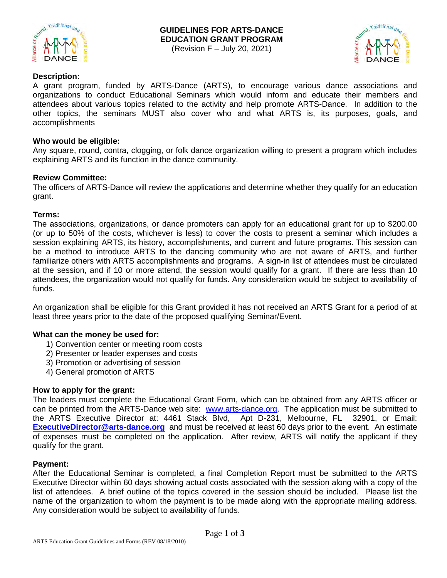



# **Description:**

A grant program, funded by ARTS-Dance (ARTS), to encourage various dance associations and organizations to conduct Educational Seminars which would inform and educate their members and attendees about various topics related to the activity and help promote ARTS-Dance. In addition to the other topics, the seminars MUST also cover who and what ARTS is, its purposes, goals, and accomplishments

# **Who would be eligible:**

Any square, round, contra, clogging, or folk dance organization willing to present a program which includes explaining ARTS and its function in the dance community.

# **Review Committee:**

The officers of ARTS-Dance will review the applications and determine whether they qualify for an education grant.

# **Terms:**

The associations, organizations, or dance promoters can apply for an educational grant for up to \$200.00 (or up to 50% of the costs, whichever is less) to cover the costs to present a seminar which includes a session explaining ARTS, its history, accomplishments, and current and future programs. This session can be a method to introduce ARTS to the dancing community who are not aware of ARTS, and further familiarize others with ARTS accomplishments and programs. A sign-in list of attendees must be circulated at the session, and if 10 or more attend, the session would qualify for a grant. If there are less than 10 attendees, the organization would not qualify for funds. Any consideration would be subject to availability of funds.

An organization shall be eligible for this Grant provided it has not received an ARTS Grant for a period of at least three years prior to the date of the proposed qualifying Seminar/Event.

# **What can the money be used for:**

- 1) Convention center or meeting room costs
- 2) Presenter or leader expenses and costs
- 3) Promotion or advertising of session
- 4) General promotion of ARTS

# **How to apply for the grant:**

The leaders must complete the Educational Grant Form, which can be obtained from any ARTS officer or can be printed from the ARTS-Dance web site: www.arts-dance.org. The application must be submitted to the ARTS Executive Director at: 4461 Stack Blvd, Apt D-231, Melbourne, FL 32901, or Email: **ExecutiveDirector@arts-dance.org** and must be received at least 60 days prior to the event. An estimate of expenses must be completed on the application. After review, ARTS will notify the applicant if they qualify for the grant.

# **Payment:**

After the Educational Seminar is completed, a final Completion Report must be submitted to the ARTS Executive Director within 60 days showing actual costs associated with the session along with a copy of the list of attendees. A brief outline of the topics covered in the session should be included. Please list the name of the organization to whom the payment is to be made along with the appropriate mailing address. Any consideration would be subject to availability of funds.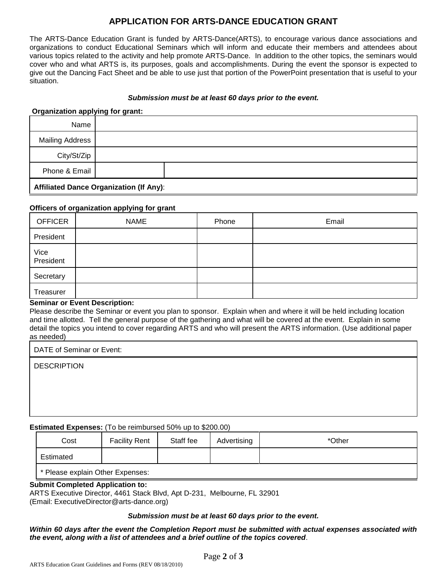# **APPLICATION FOR ARTS-DANCE EDUCATION GRANT**

The ARTS-Dance Education Grant is funded by ARTS-Dance(ARTS), to encourage various dance associations and organizations to conduct Educational Seminars which will inform and educate their members and attendees about various topics related to the activity and help promote ARTS-Dance. In addition to the other topics, the seminars would cover who and what ARTS is, its purposes, goals and accomplishments. During the event the sponsor is expected to give out the Dancing Fact Sheet and be able to use just that portion of the PowerPoint presentation that is useful to your situation.

# *Submission must be at least 60 days prior to the event.*

# **Organization applying for grant:**

| Name                                    |  |  |
|-----------------------------------------|--|--|
| <b>Mailing Address</b>                  |  |  |
| City/St/Zip                             |  |  |
| Phone & Email                           |  |  |
| Affiliated Dance Organization (If Any): |  |  |

#### **Officers of organization applying for grant**

| <b>OFFICER</b>    | <b>NAME</b> | Phone | Email |
|-------------------|-------------|-------|-------|
| President         |             |       |       |
| Vice<br>President |             |       |       |
| Secretary         |             |       |       |
| Treasurer         |             |       |       |

#### **Seminar or Event Description:**

Please describe the Seminar or event you plan to sponsor. Explain when and where it will be held including location and time allotted. Tell the general purpose of the gathering and what will be covered at the event. Explain in some detail the topics you intend to cover regarding ARTS and who will present the ARTS information. (Use additional paper as needed)

DATE of Seminar or Event:

**DESCRIPTION** 

# **Estimated Expenses:** (To be reimbursed 50% up to \$200.00)

| Cost                                                      | <b>Facility Rent</b> | Staff fee | Advertising | *Other |
|-----------------------------------------------------------|----------------------|-----------|-------------|--------|
| Estimated                                                 |                      |           |             |        |
| $\mathbf{I}$ $\ast$ Discoversion of the Other Francesco . |                      |           |             |        |

Please explain Other Expenses:

# **Submit Completed Application to:**

ARTS Executive Director, 4461 Stack Blvd, Apt D-231, Melbourne, FL 32901 (Email: ExecutiveDirector@arts-dance.org)

#### *Submission must be at least 60 days prior to the event.*

*Within 60 days after the event the Completion Report must be submitted with actual expenses associated with the event, along with a list of attendees and a brief outline of the topics covered*.